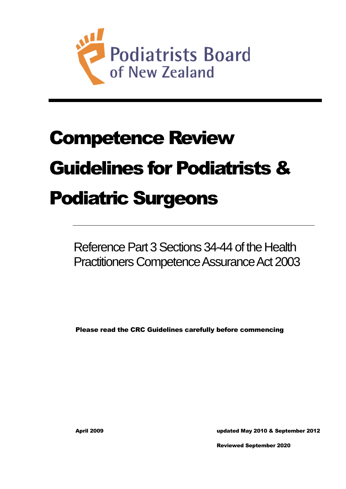

# Competence Review Guidelines for Podiatrists & Podiatric Surgeons

Reference Part 3 Sections 34-44 of the Health Practitioners Competence Assurance Act 2003

Please read the CRC Guidelines carefully before commencing

April 2009 updated May 2010 & September 2012

Reviewed September 2020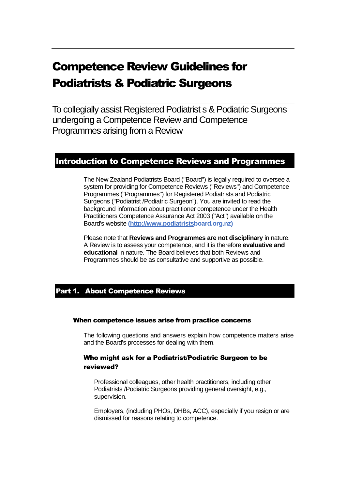# Competence Review Guidelines for Podiatrists & Podiatric Surgeons

To collegially assist Registered Podiatrist s & Podiatric Surgeons undergoing a Competence Review and Competence Programmes arising from a Review

# Introduction to Competence Reviews and Programmes

The New Zealand Podiatrists Board ("Board") is legally required to oversee a system for providing for Competence Reviews ("Reviews") and Competence Programmes ("Programmes") for Registered Podiatrists and Podiatric Surgeons ("Podiatrist /Podiatric Surgeon"). You are invited to read the background information about practitioner competence under the Health Practitioners Competence Assurance Act 2003 ("Act") available on the Board's website **[\(http://www.podiatristsb](http://www.podiatrists/)oard.org.nz)** 

Please note that **Reviews and Programmes are not disciplinary** in nature. A Review is to assess your competence, and it is therefore **evaluative and educational** in nature. The Board believes that both Reviews and Programmes should be as consultative and supportive as possible.

# Part 1. About Competence Reviews

#### When competence issues arise from practice concerns

The following questions and answers explain how competence matters arise and the Board's processes for dealing with them.

# Who might ask for a Podiatrist/Podiatric Surgeon to be reviewed?

Professional colleagues, other health practitioners; including other Podiatrists /Podiatric Surgeons providing general oversight, e.g., supervision.

Employers, (including PHOs, DHBs, ACC), especially if you resign or are dismissed for reasons relating to competence.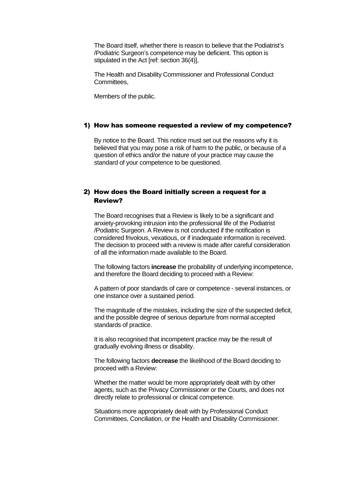The Board itself, whether there is reason to believe that the Podiatrist's /Podiatric Surgeon's competence may be deficient. This option is stipulated in the Act [ref: section 36(4)],

The Health and Disability Commissioner and Professional Conduct **Committees** 

Members of the public.

#### 1) How has someone requested a review of my competence?

By notice to the Board. This notice must set out the reasons why it is believed that you may pose a risk of harm to the public, or because of a question of ethics and/or the nature of your practice may cause the standard of your competence to be questioned.

#### 2) How does the Board initially screen a request for a Review?

The Board recognises that a Review is likely to be a significant and anxiety-provoking intrusion into the professional life of the Podiatrist /Podiatric Surgeon. A Review is not conducted if the notification is considered frivolous, vexatious, or if inadequate information is received. The decision to proceed with a review is made after careful consideration of all the information made available to the Board.

The following factors **increase** the probability of underlying incompetence, and therefore the Board deciding to proceed with a Review:

A pattern of poor standards of care or competence - several instances, or one instance over a sustained period.

The magnitude of the mistakes, including the size of the suspected deficit, and the possible degree of serious departure from normal accepted standards of practice.

It is also recognised that incompetent practice may be the result of gradually evolving illness or disability.

The following factors **decrease** the likelihood of the Board deciding to proceed with a Review:

Whether the matter would be more appropriately dealt with by other agents, such as the Privacy Commissioner or the Courts, and does not directly relate to professional or clinical competence.

Situations more appropriately dealt with by Professional Conduct Committees, Conciliation, or the Health and Disability Commissioner.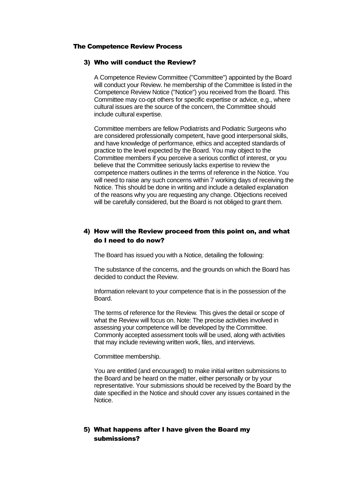#### The Competence Review Process

#### 3) Who will conduct the Review?

A Competence Review Committee ("Committee") appointed by the Board will conduct your Review. he membership of the Committee is listed in the Competence Review Notice ("Notice") you received from the Board. This Committee may co-opt others for specific expertise or advice, e.g., where cultural issues are the source of the concern, the Committee should include cultural expertise.

Committee members are fellow Podiatrists and Podiatric Surgeons who are considered professionally competent, have good interpersonal skills, and have knowledge of performance, ethics and accepted standards of practice to the level expected by the Board. You may object to the Committee members if you perceive a serious conflict of interest, or you believe that the Committee seriously lacks expertise to review the competence matters outlines in the terms of reference in the Notice. You will need to raise any such concerns within 7 working days of receiving the Notice. This should be done in writing and include a detailed explanation of the reasons why you are requesting any change. Objections received will be carefully considered, but the Board is not obliged to grant them.

# 4) How will the Review proceed from this point on, and what do I need to do now?

The Board has issued you with a Notice, detailing the following:

The substance of the concerns, and the grounds on which the Board has decided to conduct the Review.

Information relevant to your competence that is in the possession of the Board.

The terms of reference for the Review*.* This gives the detail or scope of what the Review will focus on. Note: The precise activities involved in assessing your competence will be developed by the Committee. Commonly accepted assessment tools will be used, along with activities that may include reviewing written work, files, and interviews.

Committee membership.

You are entitled (and encouraged) to make initial written submissions to the Board and be heard on the matter, either personally or by your representative. Your submissions should be received by the Board by the date specified in the Notice and should cover any issues contained in the **Notice** 

## 5) What happens after I have given the Board my submissions?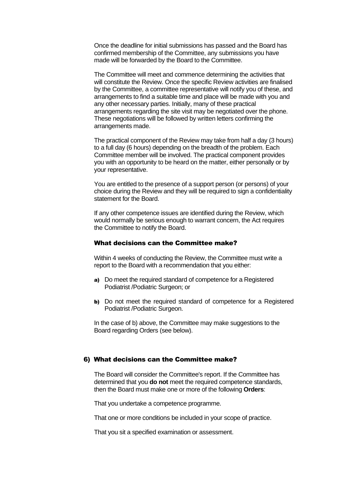Once the deadline for initial submissions has passed and the Board has confirmed membership of the Committee, any submissions you have made will be forwarded by the Board to the Committee.

The Committee will meet and commence determining the activities that will constitute the Review. Once the specific Review activities are finalised by the Committee, a committee representative will notify you of these, and arrangements to find a suitable time and place will be made with you and any other necessary parties. Initially, many of these practical arrangements regarding the site visit may be negotiated over the phone. These negotiations will be followed by written letters confirming the arrangements made.

The practical component of the Review may take from half a day (3 hours) to a full day (6 hours) depending on the breadth of the problem. Each Committee member will be involved. The practical component provides you with an opportunity to be heard on the matter, either personally or by your representative.

You are entitled to the presence of a support person (or persons) of your choice during the Review and they will be required to sign a confidentiality statement for the Board.

If any other competence issues are identified during the Review, which would normally be serious enough to warrant concern, the Act requires the Committee to notify the Board.

#### What decisions can the Committee make?

Within 4 weeks of conducting the Review, the Committee must write a report to the Board with a recommendation that you either:

- a) Do meet the required standard of competence for a Registered Podiatrist /Podiatric Surgeon; or
- b) Do not meet the required standard of competence for a Registered Podiatrist /Podiatric Surgeon.

In the case of b) above, the Committee may make suggestions to the Board regarding Orders (see below).

#### 6) What decisions can the Committee make?

The Board will consider the Committee's report. If the Committee has determined that you **do not** meet the required competence standards, then the Board must make one or more of the following **Orders**:

That you undertake a competence programme.

That one or more conditions be included in your scope of practice.

That you sit a specified examination or assessment.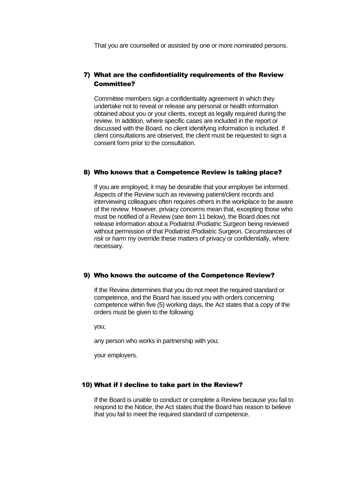That you are counselled or assisted by one or more nominated persons.

# 7) What are the confidentiality requirements of the Review Committee?

Committee members sign a confidentiality agreement in which they undertake not to reveal or release any personal or health information obtained about you or your clients, except as legally required during the review. In addition, where specific cases are included in the report or discussed with the Board, no client identifying information is included. If client consultations are observed, the client must be requested to sign a consent form prior to the consultation.

#### 8) Who knows that a Competence Review is taking place?

If you are employed, it may be desirable that your employer be informed. Aspects of the Review such as reviewing patient/client records and interviewing colleagues often requires others in the workplace to be aware of the review. However, privacy concerns mean that, excepting those who must be notified of a Review (see item 11 below), the Board does not release information about a Podiatrist /Podiatric Surgeon being reviewed without permission of that Podiatrist /Podiatric Surgeon. Circumstances of *risk* or *harm* my override these matters of privacy or confidentially, where necessary.

#### 9) Who knows the outcome of the Competence Review?

If the Review determines that you do not meet the required standard or competence, and the Board has issued you with orders concerning competence within five (5) working days, the Act states that a copy of the orders must be given to the following:

you;

any person who works in partnership with you;

your employers.

#### 10) What if I decline to take part in the Review?

If the Board is unable to conduct or complete a Review because you fail to respond to the Notice, the Act states that the Board has reason to believe that you fail to meet the required standard of competence.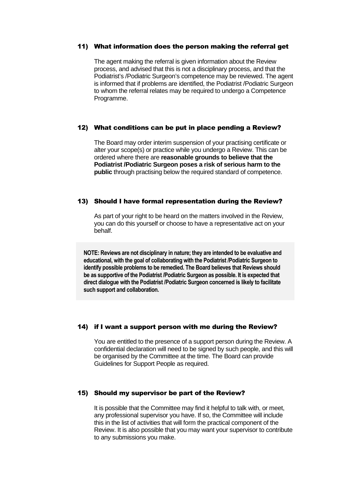#### 11) What information does the person making the referral get

The agent making the referral is given information about the Review process, and advised that this is not a disciplinary process, and that the Podiatrist's /Podiatric Surgeon's competence may be reviewed. The agent is informed that if problems are identified, the Podiatrist /Podiatric Surgeon to whom the referral relates may be required to undergo a Competence Programme.

#### 12) What conditions can be put in place pending a Review?

The Board may order interim suspension of your practising certificate or alter your scope(s) or practice while you undergo a Review. This can be ordered where there are **reasonable grounds to believe that the Podiatrist /Podiatric Surgeon poses a risk of serious harm to the public** through practising below the required standard of competence.

#### 13) Should I have formal representation during the Review?

As part of your right to be heard on the matters involved in the Review, you can do this yourself or choose to have a representative act on your behalf.

**NOTE: Reviews are not disciplinary in nature; they are intended to be evaluative and educational, with the goal of collaborating with the Podiatrist /Podiatric Surgeon to identify possible problems to be remedied. The Board believes that Reviews should be as supportive of the Podiatrist /Podiatric Surgeon as possible. It is expected that direct dialogue with the Podiatrist /Podiatric Surgeon concerned is likely to facilitate such support and collaboration.** 

## 14) if I want a support person with me during the Review?

You are entitled to the presence of a support person during the Review. A confidential declaration will need to be signed by such people, and this will be organised by the Committee at the time. The Board can provide Guidelines for Support People as required.

#### 15) Should my supervisor be part of the Review?

It is possible that the Committee may find it helpful to talk with, or meet, any professional supervisor you have. If so, the Committee will include this in the list of activities that will form the practical component of the Review. It is also possible that you may want your supervisor to contribute to any submissions you make.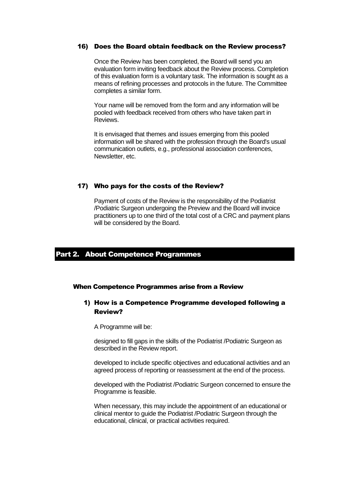#### 16) Does the Board obtain feedback on the Review process?

Once the Review has been completed, the Board will send you an evaluation form inviting feedback about the Review process. Completion of this evaluation form is a voluntary task. The information is sought as a means of refining processes and protocols in the future. The Committee completes a similar form.

Your name will be removed from the form and any information will be pooled with feedback received from others who have taken part in Reviews.

It is envisaged that themes and issues emerging from this pooled information will be shared with the profession through the Board's usual communication outlets, e.g., professional association conferences, Newsletter, etc.

#### 17) Who pays for the costs of the Review?

Payment of costs of the Review is the responsibility of the Podiatrist /Podiatric Surgeon undergoing the Preview and the Board will invoice practitioners up to one third of the total cost of a CRC and payment plans will be considered by the Board.

#### Part 2. About Competence Programmes

#### When Competence Programmes arise from a Review

#### 1) How is a Competence Programme developed following a Review?

A Programme will be:

designed to fill gaps in the skills of the Podiatrist /Podiatric Surgeon as described in the Review report.

developed to include specific objectives and educational activities and an agreed process of reporting or reassessment at the end of the process.

developed with the Podiatrist /Podiatric Surgeon concerned to ensure the Programme is feasible.

When necessary, this may include the appointment of an educational or clinical mentor to guide the Podiatrist /Podiatric Surgeon through the educational, clinical, or practical activities required.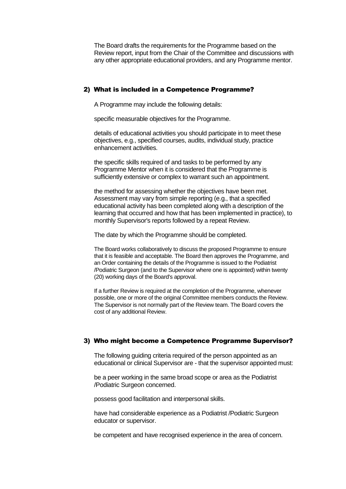The Board drafts the requirements for the Programme based on the Review report, input from the Chair of the Committee and discussions with any other appropriate educational providers, and any Programme mentor.

#### 2) What is included in a Competence Programme?

A Programme may include the following details:

specific measurable objectives for the Programme.

details of educational activities you should participate in to meet these objectives, e.g., specified courses, audits, individual study, practice enhancement activities.

the specific skills required of and tasks to be performed by any Programme Mentor when it is considered that the Programme is sufficiently extensive or complex to warrant such an appointment.

the method for assessing whether the objectives have been met. Assessment may vary from simple reporting (e.g., that a specified educational activity has been completed along with a description of the learning that occurred and how that has been implemented in practice), to monthly Supervisor's reports followed by a repeat Review.

The date by which the Programme should be completed.

The Board works collaboratively to discuss the proposed Programme to ensure that it is feasible and acceptable. The Board then approves the Programme, and an Order containing the details of the Programme is issued to the Podiatrist /Podiatric Surgeon (and to the Supervisor where one is appointed) within twenty (20) working days of the Board's approval.

If a further Review is required at the completion of the Programme, whenever possible, one or more of the original Committee members conducts the Review. The Supervisor is not normally part of the Review team. The Board covers the cost of any additional Review.

#### 3) Who might become a Competence Programme Supervisor?

The following guiding criteria required of the person appointed as an educational or clinical Supervisor are - that the supervisor appointed must:

be a peer working in the same broad scope or area as the Podiatrist /Podiatric Surgeon concerned.

possess good facilitation and interpersonal skills.

have had considerable experience as a Podiatrist /Podiatric Surgeon educator or supervisor.

be competent and have recognised experience in the area of concern.